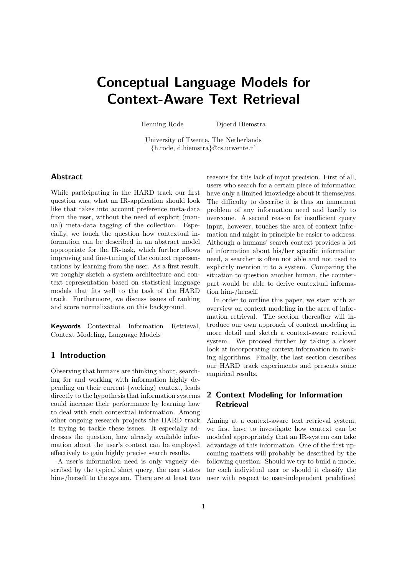# Conceptual Language Models for Context-Aware Text Retrieval

Henning Rode Djoerd Hiemstra

University of Twente, The Netherlands {h.rode, d.hiemstra}@cs.utwente.nl

## Abstract

While participating in the HARD track our first question was, what an IR-application should look like that takes into account preference meta-data from the user, without the need of explicit (manual) meta-data tagging of the collection. Especially, we touch the question how contextual information can be described in an abstract model appropriate for the IR-task, which further allows improving and fine-tuning of the context representations by learning from the user. As a first result, we roughly sketch a system architecture and context representation based on statistical language models that fits well to the task of the HARD track. Furthermore, we discuss issues of ranking and score normalizations on this background.

Keywords Contextual Information Retrieval, Context Modeling, Language Models

# 1 Introduction

Observing that humans are thinking about, searching for and working with information highly depending on their current (working) context, leads directly to the hypothesis that information systems could increase their performance by learning how to deal with such contextual information. Among other ongoing research projects the HARD track is trying to tackle these issues. It especially addresses the question, how already available information about the user's context can be employed effectively to gain highly precise search results.

A user's information need is only vaguely described by the typical short query, the user states him-/herself to the system. There are at least two reasons for this lack of input precision. First of all, users who search for a certain piece of information have only a limited knowledge about it themselves. The difficulty to describe it is thus an immanent problem of any information need and hardly to overcome. A second reason for insufficient query input, however, touches the area of context information and might in principle be easier to address. Although a humans' search context provides a lot of information about his/her specific information need, a searcher is often not able and not used to explicitly mention it to a system. Comparing the situation to question another human, the counterpart would be able to derive contextual information him-/herself.

In order to outline this paper, we start with an overview on context modeling in the area of information retrieval. The section thereafter will introduce our own approach of context modeling in more detail and sketch a context-aware retrieval system. We proceed further by taking a closer look at incorporating context information in ranking algorithms. Finally, the last section describes our HARD track experiments and presents some empirical results.

# 2 Context Modeling for Information **Retrieval**

Aiming at a context-aware text retrieval system, we first have to investigate how context can be modeled appropriately that an IR-system can take advantage of this information. One of the first upcoming matters will probably be described by the following question: Should we try to build a model for each individual user or should it classify the user with respect to user-independent predefined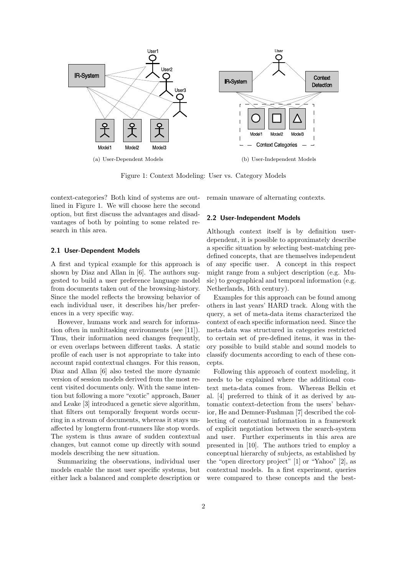

Figure 1: Context Modeling: User vs. Category Models

context-categories? Both kind of systems are outlined in Figure 1. We will choose here the second option, but first discuss the advantages and disadvantages of both by pointing to some related research in this area.

#### 2.1 User-Dependent Models

A first and typical example for this approach is shown by Diaz and Allan in [6]. The authors suggested to build a user preference language model from documents taken out of the browsing-history. Since the model reflects the browsing behavior of each individual user, it describes his/her preferences in a very specific way.

However, humans work and search for information often in multitasking environments (see [11]). Thus, their information need changes frequently, or even overlaps between different tasks. A static profile of each user is not appropriate to take into account rapid contextual changes. For this reason, Diaz and Allan [6] also tested the more dynamic version of session models derived from the most recent visited documents only. With the same intention but following a more "exotic" approach, Bauer and Leake [3] introduced a genetic sieve algorithm, that filters out temporally frequent words occurring in a stream of documents, whereas it stays unaffected by longterm front-runners like stop words. The system is thus aware of sudden contextual changes, but cannot come up directly with sound models describing the new situation.

Summarizing the observations, individual user models enable the most user specific systems, but either lack a balanced and complete description or remain unaware of alternating contexts.

#### 2.2 User-Independent Models

Although context itself is by definition userdependent, it is possible to approximately describe a specific situation by selecting best-matching predefined concepts, that are themselves independent of any specific user. A concept in this respect might range from a subject description (e.g. Music) to geographical and temporal information (e.g. Netherlands, 16th century).

Examples for this approach can be found among others in last years' HARD track. Along with the query, a set of meta-data items characterized the context of each specific information need. Since the meta-data was structured in categories restricted to certain set of pre-defined items, it was in theory possible to build stable and sound models to classify documents according to each of these concepts.

Following this approach of context modeling, it needs to be explained where the additional context meta-data comes from. Whereas Belkin et al. [4] preferred to think of it as derived by automatic context-detection from the users' behavior, He and Demner-Fushman [7] described the collecting of contextual information in a framework of explicit negotiation between the search-system and user. Further experiments in this area are presented in [10]. The authors tried to employ a conceptual hierarchy of subjects, as established by the "open directory project" [1] or "Yahoo" [2], as contextual models. In a first experiment, queries were compared to these concepts and the best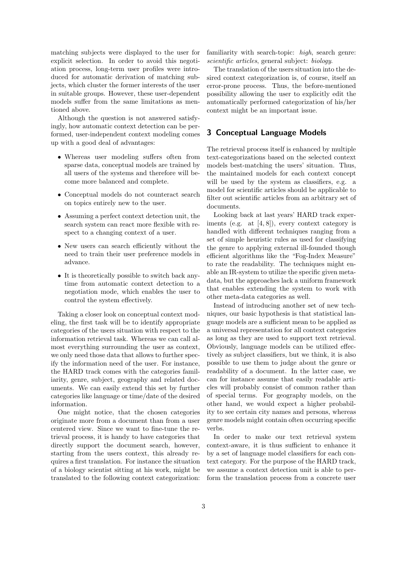matching subjects were displayed to the user for explicit selection. In order to avoid this negotiation process, long-term user profiles were introduced for automatic derivation of matching subjects, which cluster the former interests of the user in suitable groups. However, these user-dependent models suffer from the same limitations as mentioned above.

Although the question is not answered satisfyingly, how automatic context detection can be performed, user-independent context modeling comes up with a good deal of advantages:

- Whereas user modeling suffers often from sparse data, conceptual models are trained by all users of the systems and therefore will become more balanced and complete.
- Conceptual models do not counteract search on topics entirely new to the user.
- Assuming a perfect context detection unit, the search system can react more flexible with respect to a changing context of a user.
- New users can search efficiently without the need to train their user preference models in advance.
- It is theoretically possible to switch back anytime from automatic context detection to a negotiation mode, which enables the user to control the system effectively.

Taking a closer look on conceptual context modeling, the first task will be to identify appropriate categories of the users situation with respect to the information retrieval task. Whereas we can call almost everything surrounding the user as context, we only need those data that allows to further specify the information need of the user. For instance, the HARD track comes with the categories familiarity, genre, subject, geography and related documents. We can easily extend this set by further categories like language or time/date of the desired information.

One might notice, that the chosen categories originate more from a document than from a user centered view. Since we want to fine-tune the retrieval process, it is handy to have categories that directly support the document search, however, starting from the users context, this already requires a first translation. For instance the situation of a biology scientist sitting at his work, might be translated to the following context categorization: familiarity with search-topic: high, search genre: scientific articles, general subject: biology.

The translation of the users situation into the desired context categorization is, of course, itself an error-prone process. Thus, the before-mentioned possibility allowing the user to explicitly edit the automatically performed categorization of his/her context might be an important issue.

### 3 Conceptual Language Models

The retrieval process itself is enhanced by multiple text-categorizations based on the selected context models best-matching the users' situation. Thus, the maintained models for each context concept will be used by the system as classifiers, e.g. a model for scientific articles should be applicable to filter out scientific articles from an arbitrary set of documents.

Looking back at last years' HARD track experiments (e.g. at [4, 8]), every context category is handled with different techniques ranging from a set of simple heuristic rules as used for classifying the genre to applying external ill-founded though efficient algorithms like the "Fog-Index Measure" to rate the readability. The techniques might enable an IR-system to utilize the specific given metadata, but the approaches lack a uniform framework that enables extending the system to work with other meta-data categories as well.

Instead of introducing another set of new techniques, our basic hypothesis is that statistical language models are a sufficient mean to be applied as a universal representation for all context categories as long as they are used to support text retrieval. Obviously, language models can be utilized effectively as subject classifiers, but we think, it is also possible to use them to judge about the genre or readability of a document. In the latter case, we can for instance assume that easily readable articles will probably consist of common rather than of special terms. For geography models, on the other hand, we would expect a higher probability to see certain city names and persons, whereas genre models might contain often occurring specific verbs.

In order to make our text retrieval system context-aware, it is thus sufficient to enhance it by a set of language model classifiers for each context category. For the purpose of the HARD track, we assume a context detection unit is able to perform the translation process from a concrete user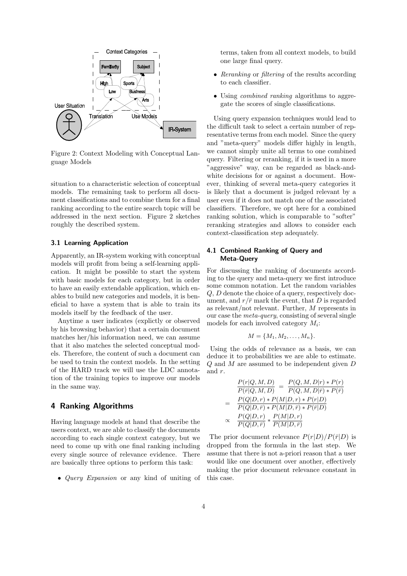

Figure 2: Context Modeling with Conceptual Language Models

situation to a characteristic selection of conceptual models. The remaining task to perform all document classifications and to combine them for a final ranking according to the entire search topic will be addressed in the next section. Figure 2 sketches roughly the described system.

## 3.1 Learning Application

Apparently, an IR-system working with conceptual models will profit from being a self-learning application. It might be possible to start the system with basic models for each category, but in order to have an easily extendable application, which enables to build new categories and models, it is beneficial to have a system that is able to train its models itself by the feedback of the user.

Anytime a user indicates (explictly or observed by his browsing behavior) that a certain document matches her/his information need, we can assume that it also matches the selected conceptual models. Therefore, the content of such a document can be used to train the context models. In the setting of the HARD track we will use the LDC annotation of the training topics to improve our models in the same way.

## 4 Ranking Algorithms

Having language models at hand that describe the users context, we are able to classify the documents according to each single context category, but we need to come up with one final ranking including every single source of relevance evidence. There are basically three options to perform this task:

• Query Expansion or any kind of uniting of

terms, taken from all context models, to build one large final query.

- Reranking or filtering of the results according to each classifier.
- Using *combined ranking* algorithms to aggregate the scores of single classifications.

Using query expansion techniques would lead to the difficult task to select a certain number of representative terms from each model. Since the query and "meta-query" models differ highly in length, we cannot simply unite all terms to one combined query. Filtering or reranking, if it is used in a more "aggressive" way, can be regarded as black-andwhite decisions for or against a document. However, thinking of several meta-query categories it is likely that a document is judged relevant by a user even if it does not match one of the associated classifiers. Therefore, we opt here for a combined ranking solution, which is comparable to "softer" reranking strategies and allows to consider each context-classification step adequately.

#### 4.1 Combined Ranking of Query and Meta-Query

For discussing the ranking of documents according to the query and meta-query we first introduce some common notation. Let the random variables Q, D denote the choice of a query, respectively document, and  $r/\bar{r}$  mark the event, that D is regarded as relevant/not relevant. Further, M represents in our case the meta-query, consisting of several single models for each involved category  $M_i$ :

$$
M = \{M_1, M_2, \ldots, M_n\}.
$$

Using the odds of relevance as a basis, we can deduce it to probabilities we are able to estimate. Q and M are assumed to be independent given D and r.

$$
\frac{P(r|Q, M, D)}{P(\bar{r}|Q, M, D)} = \frac{P(Q, M, D|r) * P(r)}{P(Q, M, D|\bar{r}) * P(\bar{r})}
$$
\n
$$
= \frac{P(Q|D, r) * P(M|D, r) * P(r|D)}{P(Q|D, \bar{r}) * P(M|D, \bar{r}) * P(\bar{r}|D)}
$$
\n
$$
\propto \frac{P(Q|D, r)}{P(Q|D, \bar{r})} * \frac{P(M|D, r)}{P(M|D, \bar{r})}
$$

The prior document relevance  $P(r|D)/P(\bar{r}|D)$  is dropped from the formula in the last step. We assume that there is not a-priori reason that a user would like one document over another, effectively making the prior document relevance constant in this case.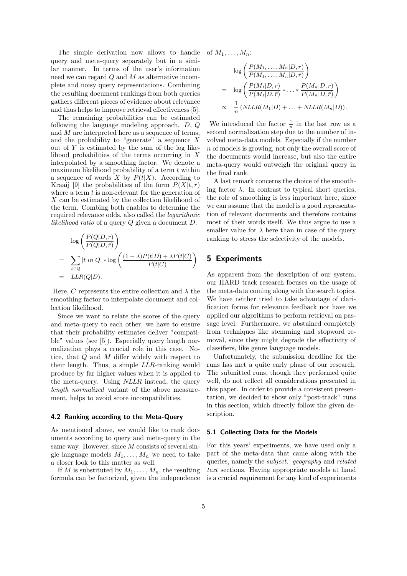The simple derivation now allows to handle query and meta-query separately but in a similar manner. In terms of the user's information need we can regard  $Q$  and  $M$  as alternative incomplete and noisy query representations. Combining the resulting document rankings from both queries gathers different pieces of evidence about relevance and thus helps to improve retrieval effectiveness [5].

The remaining probabilities can be estimated following the language modeling approach. D, Q and  $M$  are interpreted here as a sequence of terms, and the probability to "generate" a sequence  $X$ out of  $Y$  is estimated by the sum of the log likelihood probabilities of the terms occurring in  $X$ interpolated by a smoothing factor. We denote a maximum likelihood probability of a term  $t$  within a sequence of words X by  $P(t|X)$ . According to Kraaij [9] the probabilities of the form  $P(X|t, \bar{r})$ where a term  $t$  is non-relevant for the generation of X can be estimated by the collection likelihood of the term. Combing both enables to determine the required relevance odds, also called the logarithmic likelihood ratio of a query  $Q$  given a document  $D$ :

$$
\log\left(\frac{P(Q|D,r)}{P(Q|D,\bar{r})}\right)
$$
\n
$$
= \sum_{t \in Q} |t \ in \ Q| * \log\left(\frac{(1-\lambda)P(t|D) + \lambda P(t|C)}{P(t|C)}\right)
$$
\n
$$
= LLR(Q|D).
$$

Here, C represents the entire collection and  $\lambda$  the smoothing factor to interpolate document and collection likelihood.

Since we want to relate the scores of the query and meta-query to each other, we have to ensure that their probability estimates deliver "compatible" values (see [5]). Especially query length normalization plays a crucial role in this case. Notice, that Q and M differ widely with respect to their length. Thus, a simple LLR-ranking would produce by far higher values when it is applied to the meta-query. Using NLLR instead, the query length normalized variant of the above measurement, helps to avoid score incompatibilities.

#### 4.2 Ranking according to the Meta-Query

As mentioned above, we would like to rank documents according to query and meta-query in the same way. However, since  $M$  consists of several single language models  $M_1, \ldots, M_n$  we need to take a closer look to this matter as well.

If M is substituted by  $M_1, \ldots, M_n$ , the resulting formula can be factorized, given the independence of  $M_1, \ldots, M_n$ :

$$
\log\left(\frac{P(M_1,\ldots,M_n|D,r)}{P(M_1,\ldots,M_n|D,\bar{r})}\right)
$$
\n
$$
= \log\left(\frac{P(M_1|D,r)}{P(M_1|D,\bar{r})}\ast\ldots\ast\frac{P(M_n|D,r)}{P(M_n|D,\bar{r})}\right)
$$
\n
$$
\propto \frac{1}{n}\left(NLLR(M_1|D)+\ldots+NLLR(M_n|D)\right).
$$

We introduced the factor  $\frac{1}{n}$  in the last row as a second normalization step due to the number of involved meta-data models. Especially if the number n of models is growing, not only the overall score of the documents would increase, but also the entire meta-query would outweigh the original query in the final rank.

A last remark concerns the choice of the smoothing factor  $\lambda$ . In contrast to typical short queries, the role of smoothing is less important here, since we can assume that the model is a good representation of relevant documents and therefore contains most of their words itself. We thus argue to use a smaller value for  $\lambda$  here than in case of the query ranking to stress the selectivity of the models.

#### 5 Experiments

As apparent from the description of our system, our HARD track research focuses on the usage of the meta-data coming along with the search topics. We have neither tried to take advantage of clarification forms for relevance feedback nor have we applied our algorithms to perform retrieval on passage level. Furthermore, we abstained completely from techniques like stemming and stopword removal, since they might degrade the effectivity of classifiers, like genre language models.

Unfortunately, the submission deadline for the runs has met a quite early phase of our research. The submitted runs, though they performed quite well, do not reflect all considerations presented in this paper. In order to provide a consistent presentation, we decided to show only "post-track" runs in this section, which directly follow the given description.

#### 5.1 Collecting Data for the Models

For this years' experiments, we have used only a part of the meta-data that came along with the queries, namely the subject, geography and related text sections. Having appropriate models at hand is a crucial requirement for any kind of experiments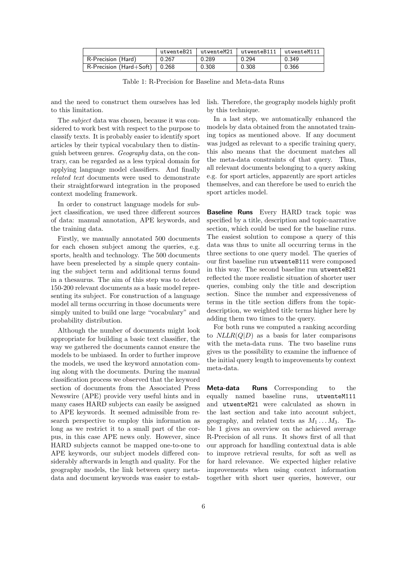|                                    | utwenteB21 | utwenteM21 | utwenteB111" | utwenteM111 |
|------------------------------------|------------|------------|--------------|-------------|
| R-Precision (Hard)                 | 0.267      | 0.289      | 0.294        | 0.349       |
| $R$ -Precision (Hard+Soft)   0.268 |            | 0.308      | 0.308        | 0.366       |

Table 1: R-Precision for Baseline and Meta-data Runs

and the need to construct them ourselves has led to this limitation.

The subject data was chosen, because it was considered to work best with respect to the purpose to classify texts. It is probably easier to identify sport articles by their typical vocabulary then to distinguish between genres. Geography data, on the contrary, can be regarded as a less typical domain for applying language model classifiers. And finally related text documents were used to demonstrate their straightforward integration in the proposed context modeling framework.

In order to construct language models for subject classification, we used three different sources of data: manual annotation, APE keywords, and the training data.

Firstly, we manually annotated 500 documents for each chosen subject among the queries, e.g. sports, health and technology. The 500 documents have been preselected by a simple query containing the subject term and additional terms found in a thesaurus. The aim of this step was to detect 150-200 relevant documents as a basic model representing its subject. For construction of a language model all terms occurring in those documents were simply united to build one large "vocabulary" and probability distribution.

Although the number of documents might look appropriate for building a basic text classifier, the way we gathered the documents cannot ensure the models to be unbiased. In order to further improve the models, we used the keyword annotation coming along with the documents. During the manual classification process we observed that the keyword section of documents from the Associated Press Newswire (APE) provide very useful hints and in many cases HARD subjects can easily be assigned to APE keywords. It seemed admissible from research perspective to employ this information as long as we restrict it to a small part of the corpus, in this case APE news only. However, since HARD subjects cannot be mapped one-to-one to APE keywords, our subject models differed considerably afterwards in length and quality. For the geography models, the link between query metadata and document keywords was easier to establish. Therefore, the geography models highly profit by this technique.

In a last step, we automatically enhanced the models by data obtained from the annotated training topics as mentioned above. If any document was judged as relevant to a specific training query, this also means that the document matches all the meta-data constraints of that query. Thus, all relevant documents belonging to a query asking e.g. for sport articles, apparently are sport articles themselves, and can therefore be used to enrich the sport articles model.

Baseline Runs Every HARD track topic was specified by a title, description and topic-narrative section, which could be used for the baseline runs. The easiest solution to compose a query of this data was thus to unite all occurring terms in the three sections to one query model. The queries of our first baseline run utwenteB111 were composed in this way. The second baseline run utwenteB21 reflected the more realistic situation of shorter user queries, combing only the title and description section. Since the number and expressiveness of terms in the title section differs from the topicdescription, we weighted title terms higher here by adding them two times to the query.

For both runs we computed a ranking according to  $NLLR(Q|D)$  as a basis for later comparisons with the meta-data runs. The two baseline runs gives us the possibility to examine the influence of the initial query length to improvements by context meta-data.

Meta-data Runs Corresponding to the equally named baseline runs, utwenteM111 and utwenteM21 were calculated as shown in the last section and take into account subject, geography, and related texts as  $M_1 \ldots M_3$ . Table 1 gives an overview on the achieved average R-Precision of all runs. It shows first of all that our approach for handling contextual data is able to improve retrieval results, for soft as well as for hard relevance. We expected higher relative improvements when using context information together with short user queries, however, our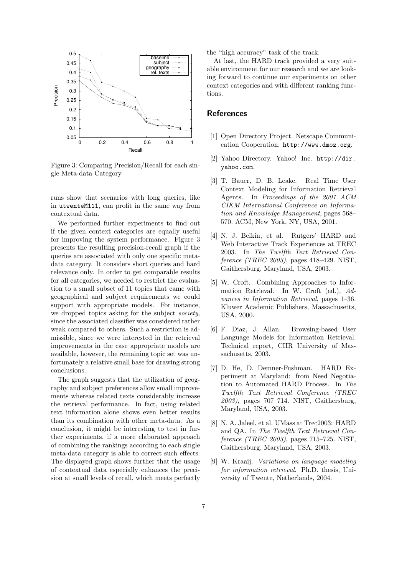

Figure 3: Comparing Precision/Recall for each single Meta-data Category

runs show that scenarios with long queries, like in utwenteM111, can profit in the same way from contextual data.

We performed further experiments to find out if the given context categories are equally useful for improving the system performance. Figure 3 presents the resulting precision-recall graph if the queries are associated with only one specific metadata category. It considers short queries and hard relevance only. In order to get comparable results for all categories, we needed to restrict the evaluation to a small subset of 11 topics that came with geographical and subject requirements we could support with appropriate models. For instance, we dropped topics asking for the subject *society*, since the associated classifier was considered rather weak compared to others. Such a restriction is admissible, since we were interested in the retrieval improvements in the case appropriate models are available, however, the remaining topic set was unfortunately a relative small base for drawing strong conclusions.

The graph suggests that the utilization of geography and subject preferences allow small improvements whereas related texts considerably increase the retrieval performance. In fact, using related text information alone shows even better results than its combination with other meta-data. As a conclusion, it might be interesting to test in further experiments, if a more elaborated approach of combining the rankings according to each single meta-data category is able to correct such effects. The displayed graph shows further that the usage of contextual data especially enhances the precision at small levels of recall, which meets perfectly the "high accuracy" task of the track.

At last, the HARD track provided a very suitable environment for our research and we are looking forward to continue our experiments on other context categories and with different ranking functions.

#### **References**

- [1] Open Directory Project. Netscape Communication Cooperation. http://www.dmoz.org.
- [2] Yahoo Directory. Yahoo! Inc. http://dir. yahoo.com.
- [3] T. Bauer, D. B. Leake. Real Time User Context Modeling for Information Retrieval Agents. In Proceedings of the 2001 ACM CIKM International Conference on Information and Knowledge Management, pages 568– 570. ACM, New York, NY, USA, 2001.
- [4] N. J. Belkin, et al. Rutgers' HARD and Web Interactive Track Experiences at TREC 2003. In The Twelfth Text Retrieval Conference (TREC 2003), pages 418–429. NIST, Gaithersburg, Maryland, USA, 2003.
- [5] W. Croft. Combining Approaches to Information Retrieval. In W. Croft (ed.), Advances in Information Retrieval, pages 1–36. Kluwer Academic Publishers, Massachusetts, USA, 2000.
- [6] F. Diaz, J. Allan. Browsing-based User Language Models for Information Retrieval. Technical report, CIIR University of Massachusetts, 2003.
- [7] D. He, D. Demner-Fushman. HARD Experiment at Maryland: from Need Negotiation to Automated HARD Process. In The Twelfth Text Retrieval Conference (TREC 2003), pages 707–714. NIST, Gaithersburg, Maryland, USA, 2003.
- [8] N. A. Jaleel, et al. UMass at Trec2003: HARD and QA. In The Twelfth Text Retrieval Conference (TREC 2003), pages 715–725. NIST, Gaithersburg, Maryland, USA, 2003.
- [9] W. Kraaij. Variations on language modeling for information retrieval. Ph.D. thesis, University of Twente, Netherlands, 2004.